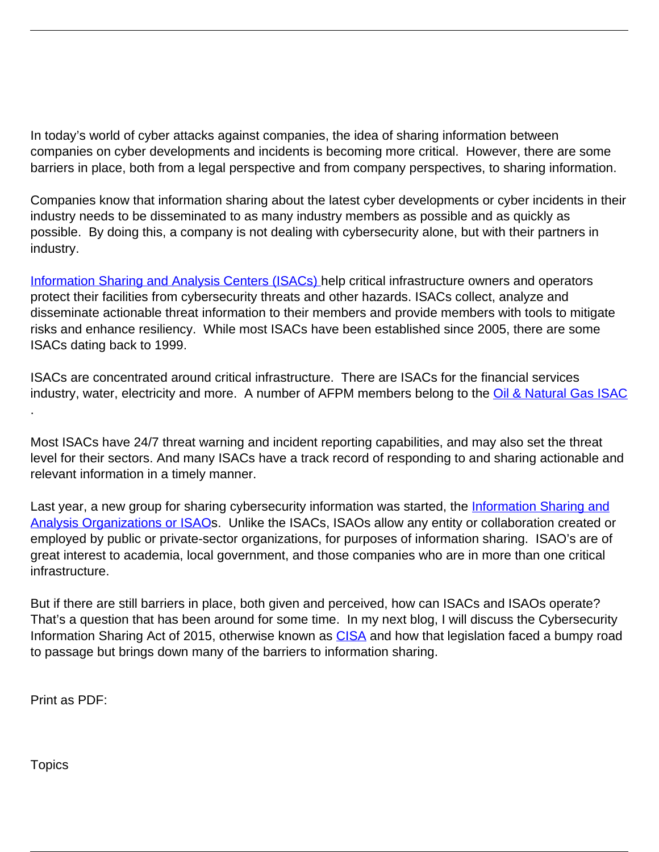In today's world of cyber attacks against companies, the idea of sharing information between companies on cyber developments and incidents is becoming more critical. However, there are some barriers in place, both from a legal perspective and from company perspectives, to sharing information.

Companies know that information sharing about the latest cyber developments or cyber incidents in their industry needs to be disseminated to as many industry members as possible and as quickly as possible. By doing this, a company is not dealing with cybersecurity alone, but with their partners in industry.

[Information Sharing and Analysis Centers \(ISACs\)](http://www.nationalisacs.org/) help critical infrastructure owners and operators protect their facilities from cybersecurity threats and other hazards. ISACs collect, analyze and disseminate actionable threat information to their members and provide members with tools to mitigate risks and enhance resiliency. While most ISACs have been established since 2005, there are some ISACs dating back to 1999.

ISACs are concentrated around critical infrastructure. There are ISACs for the financial services industry, water, electricity and more. A number of AFPM members belong to the *[Oil & Natural Gas ISAC](http://www.ongisac.org/)* .

Most ISACs have 24/7 threat warning and incident reporting capabilities, and may also set the threat level for their sectors. And many ISACs have a track record of responding to and sharing actionable and relevant information in a timely manner.

Last year, a new group for sharing cybersecurity information was started, the *[Information Sharing and](https://www.isao.org/about/)* [Analysis Organizations or ISAO](https://www.isao.org/about/)s. Unlike the ISACs, ISAOs allow any entity or collaboration created or employed by public or private-sector organizations, for purposes of information sharing. ISAO's are of great interest to academia, local government, and those companies who are in more than one critical infrastructure.

But if there are still barriers in place, both given and perceived, how can ISACs and ISAOs operate? That's a question that has been around for some time. In my next blog, I will discuss the Cybersecurity Information Sharing Act of 2015, otherwise known as [CISA](https://en.wikipedia.org/wiki/Cybersecurity_Information_Sharing_Act) and how that legislation faced a bumpy road to passage but brings down many of the barriers to information sharing.

Print as PDF:

**Topics**